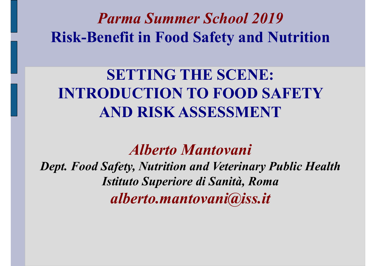*Parma Summer School 2019* **Risk-Benefit in Food Safety and Nutrition**

# **SETTING THE SCENE: INTRODUCTION TO FOOD SAFETY AND RISK ASSESSMENT**

### *Alberto Mantovani*

*Dept. Food Safety, Nutrition and Veterinary Public Health Istituto Superiore di Sanità, Roma alberto.mantovani@iss.it*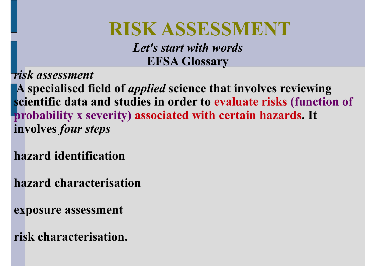# **RISK ASSESSMENT**

*Let's start with words* **EFSA Glossary**

*risk assessment*

**A specialised field of** *applied* **science that involves reviewing scientific data and studies in order to evaluate risks (function of probability x severity) associated with certain hazards. It involves** *four steps*

**hazard identification**

**hazard characterisation**

**exposure assessment**

**risk characterisation.**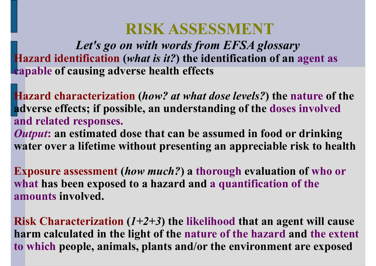## **RISK ASSESSMENT**

*Let's go on with words from EFSA glossary* **Hazard identification (***what is it?***) the identification of an agent as capable of causing adverse health effects**

**Hazard characterization (***how? at what dose levels?***) the nature of the adverse effects; if possible, an understanding of the doses involved and related responses.**

*Output***: an estimated dose that can be assumed in food or drinking water over a lifetime without presenting an appreciable risk to health**

**Exposure assessment (***how much?***) a thorough evaluation of who or what has been exposed to a hazard and a quantification of the amounts involved.**

**Risk Characterization**  $(1+2+3)$  the likelihood that an agent will cause **harm calculated in the light of the nature of the hazard and the extent to which people, animals, plants and/or the environment are exposed**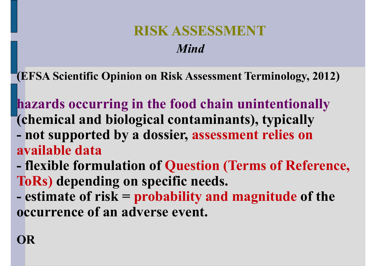## **RISK ASSESSMENT** *Mind*

**(EFSA Scientific Opinion on Risk Assessment Terminology, 2012)**

**hazards occurring in the food chain unintentionally (chemical and biological contaminants), typically**

**- not supported by a dossier, assessment relies on available data**

**- flexible formulation of Question (Terms of Reference, ToRs) depending on specific needs.**

**- estimate of risk = probability and magnitude of the occurrence of an adverse event.**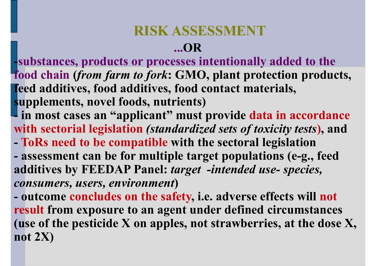### **RISK ASSESSMENT**

#### **...OR**

**-substances, products or processes intentionally added to the food chain (***from farm to fork***: GMO, plant protection products, feed additives, food additives, food contact materials, supplements, novel foods, nutrients)**

- **in most cases an "applicant" must provide data in accordance with sectorial legislation** *(standardized sets of toxicity tests***), and**
- **- ToRs need to be compatible with the sectoral legislation - assessment can be for multiple target populations (e-g., feed**
- **additives by FEEDAP Panel:** *target -intended use- species, consumers, users, environment***)**

**- outcome concludes on the safety, i.e. adverse effects will not result from exposure to an agent under defined circumstances (use of the pesticide X on apples, not strawberries, at the dose X, not 2X)**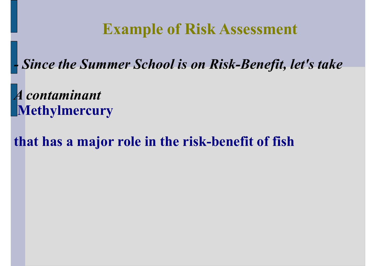## **Example of Risk Assessment**

*- Since the Summer School is on Risk-Benefit, let's take*

*A contaminant* **Methylmercury**

**that has a major role in the risk-benefit of fish**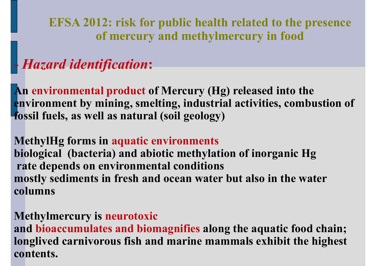**EFSA 2012: risk for public health related to the presence of mercury and methylmercury in food**

### **-** *Hazard identification***:**

**An environmental product of Mercury (Hg) released into the environment by mining, smelting, industrial activities, combustion of fossil fuels, as well as natural (soil geology)**

**MethylHg forms in aquatic environments biological (bacteria) and abiotic methylation of inorganic Hg rate depends on environmental conditions mostly sediments in fresh and ocean water but also in the water columns**

#### **Methylmercury is neurotoxic**

**and bioaccumulates and biomagnifies along the aquatic food chain; longlived carnivorous fish and marine mammals exhibit the highest contents.**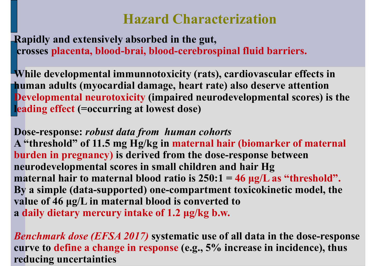### **Hazard Characterization**

**Rapidly and extensively absorbed in the gut, crosses placenta, blood-brai, blood-cerebrospinal fluid barriers.**

**While developmental immunnotoxicity (rats), cardiovascular effects in human adults (myocardial damage, heart rate) also deserve attention Developmental neurotoxicity (impaired neurodevelopmental scores) is the leading effect (=occurring at lowest dose)**

**Dose-response:** *robust data from human cohorts* **A "threshold" of 11.5 mg Hg/kg in maternal hair (biomarker of maternal burden in pregnancy) is derived from the dose-response between neurodevelopmental scores in small children and hair Hg maternal hair to maternal blood ratio is 250:1 = 46 μg/L as "threshold". By a simple (data-supported) one-compartment toxicokinetic model, the value of 46 μg/L in maternal blood is converted to a daily dietary mercury intake of 1.2 μg/kg b.w.**

*Benchmark dose (EFSA 2017)* **systematic use of all data in the dose-response curve to define a change in response (e.g., 5% increase in incidence), thus reducing uncertainties**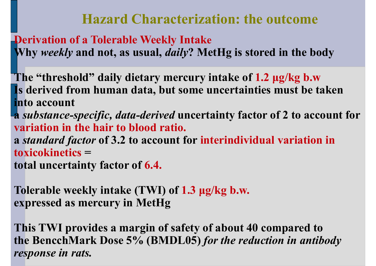### **Hazard Characterization: the outcome**

**Derivation of a Tolerable Weekly Intake Why** *weekly* **and not, as usual,** *daily***? MetHg is stored in the body**

**The "threshold" daily dietary mercury intake of 1.2 μg/kg b.w Is derived from human data, but some uncertainties must be taken into account**

- **a** *substance-specific, data-derived* **uncertainty factor of 2 to account for variation in the hair to blood ratio.**
- **a** *standard factor* **of 3.2 to account for interindividual variation in toxicokinetics =**

**total uncertainty factor of 6.4.**

**Tolerable weekly intake (TWI) of 1.3 μg/kg b.w. expressed as mercury in MetHg**

**This TWI provides a margin of safety of about 40 compared to the BencchMark Dose 5% (BMDL05)** *for the reduction in antibody response in rats.*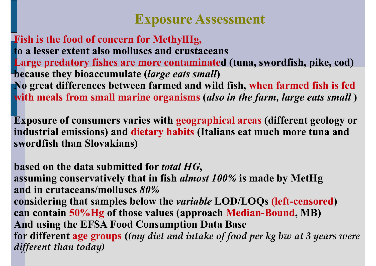### **Exposure Assessment**

**Fish is the food of concern for MethylHg, to a lesser extent also molluscs and crustaceans Large predatory fishes are more contaminated (tuna, swordfish, pike, cod) because they bioaccumulate (***large eats small***) No great differences between farmed and wild fish, when farmed fish is fed with meals from small marine organisms** (*also in the farm, large eats small*)

**Exposure of consumers varies with geographical areas (different geology or industrial emissions) and dietary habits (Italians eat much more tuna and swordfish than Slovakians)**

**based on the data submitted for** *total HG***, assuming conservatively that in fish** *almost 100%* **is made by MetHg and in crutaceans/molluscs** *80%* **considering that samples below the** *variable* **LOD/LOQs (left-censored) can contain 50%Hg of those values (approach Median-Bound, MB) And using the EFSA Food Consumption Data Base for different age groups (***(my diet and intake of food per kg bw at 3 years were different than today)*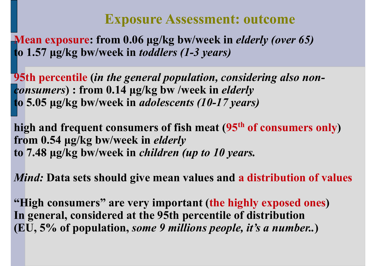#### **Exposure Assessment: outcome**

**Mean exposure: from 0.06 μg/kg bw/week in** *elderly (over 65)* **to 1.57 μg/kg bw/week in** *toddlers (1-3 years)*

**95th percentile (***in the general population, considering also nonconsumers***) : from 0.14 μg/kg bw /week in** *elderly* **to 5.05 μg/kg bw/week in** *adolescents (10-17 years)*

**high and frequent consumers of fish meat (95th of consumers only) from 0.54 μg/kg bw/week in** *elderly* **to 7.48 μg/kg bw/week in** *children (up to 10 years.*

*Mind:* **Data sets should give mean values and a distribution of values**

**"High consumers" are very important (the highly exposed ones) In general, considered at the 95th percentile of distribution (EU, 5% of population,** *some 9 millions people, it's a number..***)**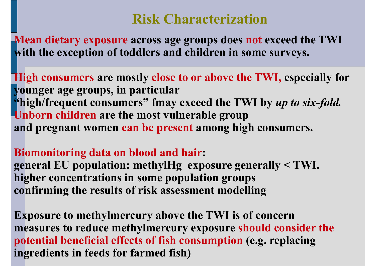### **Risk Characterization**

**Mean dietary exposure across age groups does not exceed the TWI with the exception of toddlers and children in some surveys.**

**High consumers are mostly close to or above the TWI, especially for younger age groups, in particular "high/frequent consumers" fmay exceed the TWI by** *up to six-fold.* **Unborn children are the most vulnerable group and pregnant women can be present among high consumers.**

#### **Biomonitoring data on blood and hair:**

**general EU population: methylHg exposure generally < TWI. higher concentrations in some population groups confirming the results of risk assessment modelling**

**Exposure to methylmercury above the TWI is of concern measures to reduce methylmercury exposure should consider the potential beneficial effects of fish consumption (e.g. replacing ingredients in feeds for farmed fish)**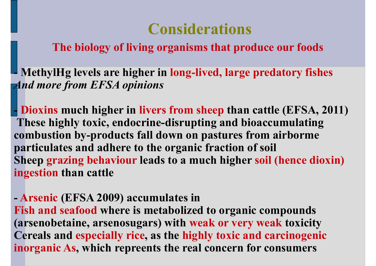# **Considerations**

#### **The biology of living organisms that produce our foods**

**- MethylHg levels are higher in long-lived, large predatory fishes** *And more from EFSA opinions*

**- Dioxins much higher in livers from sheep than cattle (EFSA, 2011) These highly toxic, endocrine-disrupting and bioaccumulating combustion by-products fall down on pastures from airborme particulates and adhere to the organic fraction of soil Sheep grazing behaviour leads to a much higher soil (hence dioxin) ingestion than cattle**

**- Arsenic (EFSA 2009) accumulates in Fish and seafood where is metabolized to organic compounds (arsenobetaine, arsenosugars) with weak or very weak toxicity Cereals and especially rice, as the highly toxic and carcinogenic inorganic As, which repreents the real concern for consumers**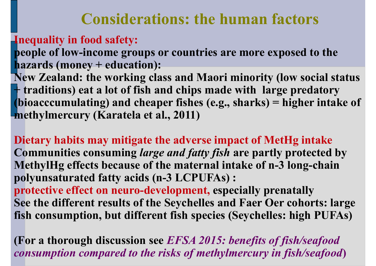## **Considerations: the human factors**

**Inequality in food safety:**

**people of low-income groups or countries are more exposed to the hazards (money + education):**

**New Zealand: the working class and Maori minority (low social status + traditions) eat a lot of fish and chips made with large predatory (bioacccumulating) and cheaper fishes (e.g., sharks) = higher intake of methylmercury (Karatela et al., 2011)**

**Dietary habits may mitigate the adverse impact of MetHg intake Communities consuming** *large and fatty fish* **are partly protected by MethylHg effects because of the maternal intake of n-3 long-chain polyunsaturated fatty acids (n-3 LCPUFAs) :**

**protective effect on neuro-development, especially prenatally See the different results of the Seychelles and Faer Oer cohorts: large fish consumption, but different fish species (Seychelles: high PUFAs)**

**(For a thorough discussion see** *EFSA 2015: benefits of fish/seafood consumption compared to the risks of methylmercury in fish/seafood***)**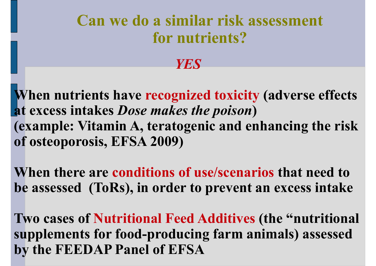## **Can we do a similar risk assessment for nutrients?**

**When nutrients have recognized toxicity (adverse effects at excess intakes** *Dose makes the poison***) (example: Vitamin A, teratogenic and enhancing the risk of osteoporosis, EFSA 2009)**

*YES*

- **When there are conditions of use/scenarios that need to be assessed (ToRs), in order to prevent an excess intake**
- **Two cases of Nutritional Feed Additives (the "nutritional supplements for food-producing farm animals) assessed by the FEEDAP Panel of EFSA**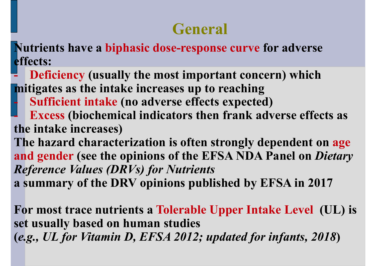# **General**

**Nutrients have a biphasic dose-response curve for adverse effects:**

**- Deficiency (usually the most important concern) which mitigates as the intake increases up to reaching**

**- Sufficient intake (no adverse effects expected)**

**- Excess (biochemical indicators then frank adverse effects as the intake increases)**

**The hazard characterization is often strongly dependent on age and gender (see the opinions of the EFSA NDA Panel on** *Dietary Reference Values (DRVs) for Nutrients*

**a summary of the DRV opinions published by EFSA in 2017**

**For most trace nutrients a Tolerable Upper Intake Level (UL) is set usually based on human studies (***e.g., UL for Vitamin D, EFSA 2012; updated for infants, 2018***)**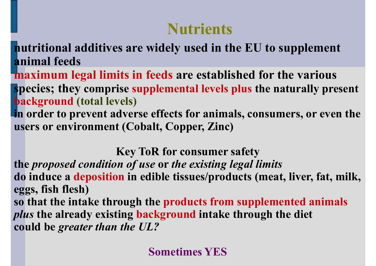## **Nutrients**

**nutritional additives are widely used in the EU to supplement animal feeds**

**maximum legal limits in feeds are established for the various species; they comprise supplemental levels plus the naturally present background (total levels)**

**in order to prevent adverse effects for animals, consumers, or even the users or environment (Cobalt, Copper, Zinc)**

**Key ToR for consumer safety**

**the** *proposed condition of use* **or** *the existing legal limits*

**do induce a deposition in edible tissues/products (meat, liver, fat, milk, eggs, fish flesh)**

**so that the intake through the products from supplemented animals** *plus* **the already existing background intake through the diet could be** *greater than the UL?*

**Sometimes YES**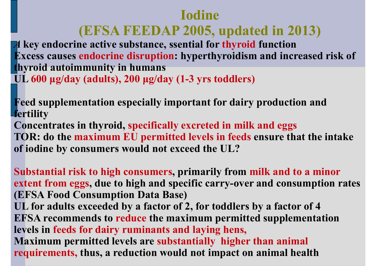### **Iodine**

**(EFSA FEEDAP 2005, updated in 2013)**

*A* **key endocrine active substance, ssential for thyroid function Excess causes endocrine disruption: hyperthyroidism and increased risk of thyroid autoimmunity in humans UL 600 μg/day (adults), 200 μg/day (1-3 yrs toddlers)**

**Feed supplementation especially important for dairy production and fertility**

**Concentrates in thyroid, specifically excreted in milk and eggs TOR: do the maximum EU permitted levels in feeds ensure that the intake of iodine by consumers would not exceed the UL?**

**Substantial risk to high consumers, primarily from milk and to a minor extent from eggs, due to high and specific carry-over and consumption rates (EFSA Food Consumption Data Base)**

**UL for adults exceeded by a factor of 2, for toddlers by a factor of 4 EFSA recommends to reduce the maximum permitted supplementation levels in feeds for dairy ruminants and laying hens, Maximum permitted levels are substantially higher than animal requirements, thus, a reduction would not impact on animal health**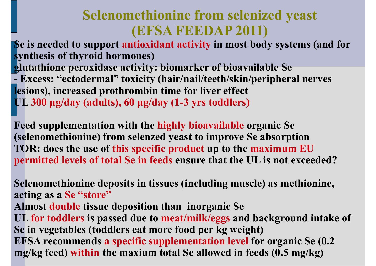### **Selenomethionine from selenized yeast (EFSA FEEDAP 2011)**

**Se is needed to support antioxidant activity in most body systems (and for synthesis of thyroid hormones) glutathione peroxidase activity: biomarker of bioavailable Se - Excess: "ectodermal" toxicity (hair/nail/teeth/skin/peripheral nerves lesions), increased prothrombin time for liver effect UL 300 μg/day (adults), 60 μg/day (1-3 yrs toddlers)**

**Feed supplementation with the highly bioavailable organic Se (selenomethionine) from selenzed yeast to improve Se absorption TOR: does the use of this specific product up to the maximum EU permitted levels of total Se in feeds ensure that the UL is not exceeded?**

**Selenomethionine deposits in tissues (including muscle) as methionine, acting as a Se "store" Almost double tissue deposition than inorganic Se UL for toddlers is passed due to meat/milk/eggs and background intake of Se in vegetables (toddlers eat more food per kg weight) EFSA recommends a specific supplementation level for organic Se (0.2 mg/kg feed) within the maxium total Se allowed in feeds (0.5 mg/kg)**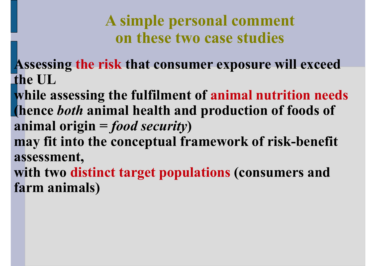## **A simple personal comment on these two case studies**

**Assessing the risk that consumer exposure will exceed the UL**

- **while assessing the fulfilment of animal nutrition needs (hence** *both* **animal health and production of foods of animal origin =** *food security***)**
- **may fit into the conceptual framework of risk-benefit assessment,**
- **with two distinct target populations (consumers and farm animals)**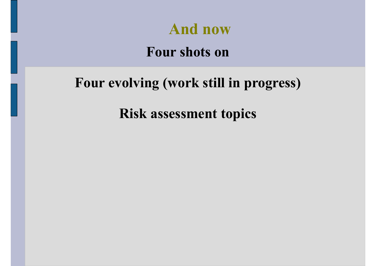# **And now Four shots on**

# **Four evolving (work still in progress)**

### **Risk assessment topics**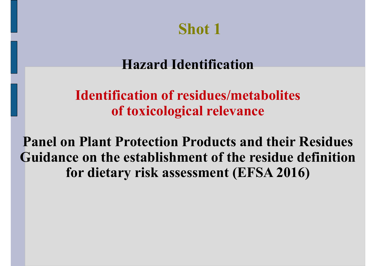### **Shot 1**

### **Hazard Identification**

### **Identification of residues/metabolites of toxicological relevance**

**Panel on Plant Protection Products and their Residues Guidance on the establishment of the residue definition for dietary risk assessment (EFSA 2016)**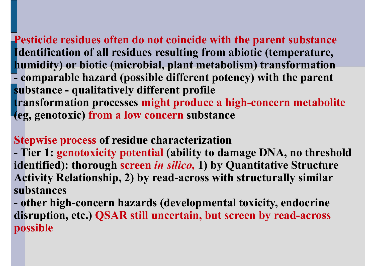**Pesticide residues often do not coincide with the parent substance Identification of all residues resulting from abiotic (temperature, humidity) or biotic (microbial, plant metabolism) transformation - comparable hazard (possible different potency) with the parent substance - qualitatively different profile transformation processes might produce a high-concern metabolite (eg, genotoxic) from a low concern substance**

**Stepwise process of residue characterization**

**- Tier 1: genotoxicity potential (ability to damage DNA, no threshold identified): thorough screen** *in silico,* **1) by Quantitative Structure Activity Relationship, 2) by read-across with structurally similar substances**

**- other high-concern hazards (developmental toxicity, endocrine disruption, etc.) QSAR still uncertain, but screen by read-across possible**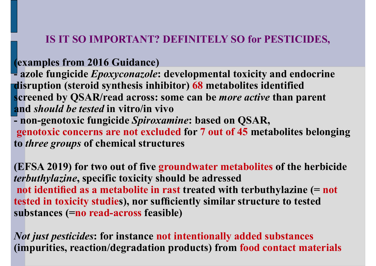#### **IS IT SO IMPORTANT? DEFINITELY SO for PESTICIDES,**

#### **(examples from 2016 Guidance)**

**- azole fungicide** *Epoxyconazole***: developmental toxicity and endocrine disruption (steroid synthesis inhibitor) 68 metabolites identified screened by QSAR/read across: some can be** *more active* **than parent and** *should be tested* **in vitro/in vivo - non-genotoxic fungicide** *Spiroxamine***: based on QSAR,**

**genotoxic concerns are not excluded for 7 out of 45 metabolites belonging to** *three groups* **of chemical structures**

**(EFSA 2019) for two out of five groundwater metabolites of the herbicide** *terbuthylazine***, specific toxicity should be adressed not identified as a metabolite in rast treated with terbuthylazine (= not tested in toxicity studies), nor sufficiently similar structure to tested substances (=no read-across feasible)**

*Not just pesticides***: for instance not intentionally added substances (impurities, reaction/degradation products) from food contact materials**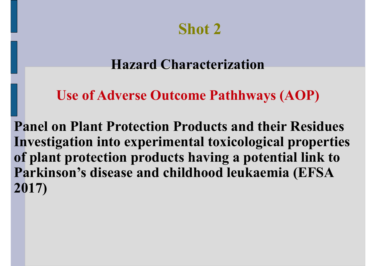### **Shot 2**

**Hazard Characterization**

**Use of Adverse Outcome Pathhways (AOP)**

**Panel on Plant Protection Products and their Residues Investigation into experimental toxicological properties of plant protection products having a potential link to Parkinson's disease and childhood leukaemia (EFSA 2017)**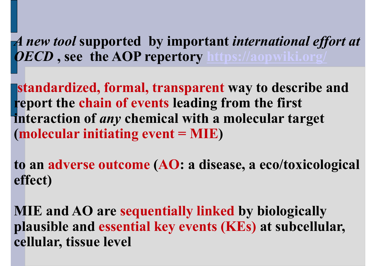### *A new tool* **supported by important** *international effort at OECD* **, see the AOP repertory https://aopwiki.org/**

**standardized, formal, transparent way to describe and report the chain of events leading from the first interaction of** *any* **chemical with a molecular target (molecular initiating event = MIE)**

**to an adverse outcome (AO: a disease, a eco/toxicological effect)**

**MIE and AO are sequentially linked by biologically plausible and essential key events (KEs) at subcellular, cellular, tissue level**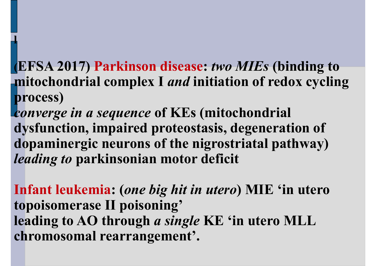### **(EFSA 2017) Parkinson disease:** *two MIEs* **(binding to mitochondrial complex I** *and* **initiation of redox cycling process)**

**l**

*converge in a sequence* **of KEs (mitochondrial dysfunction, impaired proteostasis, degeneration of dopaminergic neurons of the nigrostriatal pathway)** *leading to* **parkinsonian motor deficit**

**Infant leukemia: (***one big hit in utero***) MIE 'in utero topoisomerase II poisoning' leading to AO through** *a single* **KE 'in utero MLL chromosomal rearrangement'.**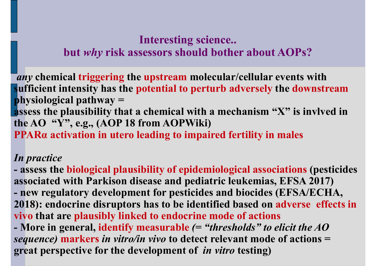#### **Interesting science.. but** *why* **risk assessors should bother about AOPs?**

*any* **chemical triggering the upstream molecular/cellular events with sufficient intensity has the potential to perturb adversely the downstream physiological pathway = assess the plausibility that a chemical with a mechanism "X" is invlved in the AO "Y", e.g., (AOP 18 from AOPWiki) PPARα activation in utero leading to impaired fertility in males**

#### *In practice*

**- assess the biological plausibility of epidemiological associations (pesticides associated with Parkison disease and pediatric leukemias, EFSA 2017) - new regulatory development for pesticides and biocides (EFSA/ECHA, 2018): endocrine disruptors has to be identified based on adverse effects in vivo that are plausibly linked to endocrine mode of actions - More in general, identify measurable** *(= "thresholds" to elicit the AO sequence)* **markers** *in vitro/in vivo* **to detect relevant mode of actions = great perspective for the development of** *in vitro* **testing)**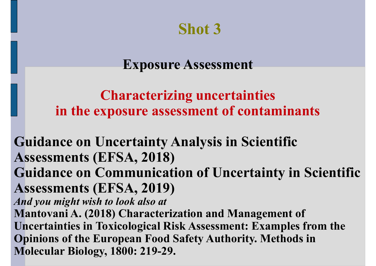## **Shot 3**

**Exposure Assessment**

### **Characterizing uncertainties in the exposure assessment of contaminants**

**Guidance on Uncertainty Analysis in Scientific Assessments (EFSA, 2018) Guidance on Communication of Uncertainty in Scientific Assessments (EFSA, 2019)** *And you might wish to look also at* **Mantovani A. (2018) Characterization and Management of Uncertainties in Toxicological Risk Assessment: Examples from the Opinions of the European Food Safety Authority. Methods in Molecular Biology, 1800: 219-29.**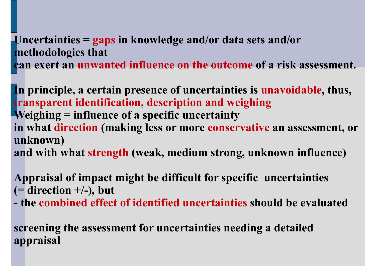**Uncertainties = gaps in knowledge and/or data sets and/or methodologies that can exert an unwanted influence on the outcome of a risk assessment.**

**In principle, a certain presence of uncertainties is unavoidable, thus, transparent identification, description and weighing Weighing = influence of a specific uncertainty in what direction (making less or more conservative an assessment, or unknown)**

**and with what strength (weak, medium strong, unknown influence)**

**Appraisal of impact might be difficult for specific uncertainties (= direction +/-), but**

**- the combined effect of identified uncertainties should be evaluated**

**screening the assessment for uncertainties needing a detailed appraisal**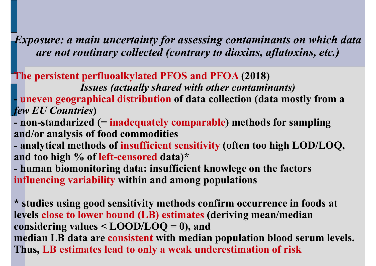*Exposure: a main uncertainty for assessing contaminants on which data are not routinary collected (contrary to dioxins, aflatoxins, etc.)*

**The persistent perfluoalkylated PFOS and PFOA (2018)** *Issues (actually shared with other contaminants)* **- uneven geographical distribution of data collection (data mostly from a** *few EU Countries***) - non-standarized (= inadequately comparable) methods for sampling and/or analysis of food commodities - analytical methods of insufficient sensitivity (often too high LOD/LOQ, and too high % of left-censored data)\* - human biomonitoring data: insufficient knowlege on the factors influencing variability within and among populations**

**\* studies using good sensitivity methods confirm occurrence in foods at levels close to lower bound (LB) estimates (deriving mean/median considering values < LOOD/LOQ = 0), and median LB data are consistent with median population blood serum levels. Thus, LB estimates lead to only a weak underestimation of risk**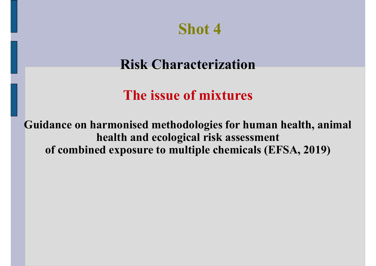### **Shot 4**

#### **Risk Characterization**

### **The issue of mixtures**

#### **Guidance on harmonised methodologies for human health, animal health and ecological risk assessment of combined exposure to multiple chemicals (EFSA, 2019)**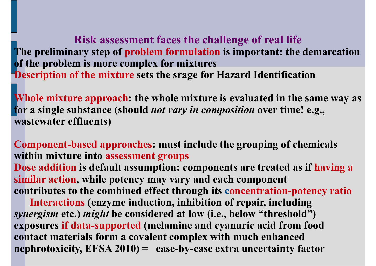**Risk assessment faces the challenge of real life The preliminary step of problem formulation is important: the demarcation of the problem is more complex for mixtures Description of the mixture sets the srage for Hazard Identification**

**Whole mixture approach: the whole mixture is evaluated in the same way as for a single substance (should** *not vary in composition* **over time! e.g., wastewater effluents)**

**Component-based approaches: must include the grouping of chemicals within mixture into assessment groups Dose addition is default assumption: components are treated as if having a similar action, while potency may vary and each component contributes to the combined effect through its concentration-potency ratio**

**Interactions (enzyme induction, inhibition of repair, including** *synergism* **etc.)** *might* **be considered at low (i.e., below "threshold") exposures if data-supported (melamine and cyanuric acid from food contact materials form a covalent complex with much enhanced nephrotoxicity, EFSA 2010) = case-by-case extra uncertainty factor**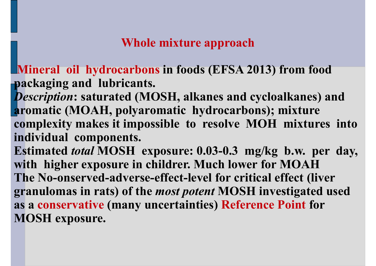**Mineral oil hydrocarbons in foods (EFSA 2013) from food packaging and lubricants.**

*Description***: saturated (MOSH, alkanes and cycloalkanes) and aromatic (MOAH, polyaromatic hydrocarbons); mixture complexity makes it impossible to resolve MOH mixtures into individual components.**

**Estimated** *total* **MOSH exposure: 0.03-0.3 mg/kg b.w. per day, with higher exposure in childrer. Much lower for MOAH The No-onserved-adverse-effect-level for critical effect (liver granulomas in rats) of the** *most potent* **MOSH investigated used as a conservative (many uncertainties) Reference Point for MOSH exposure.**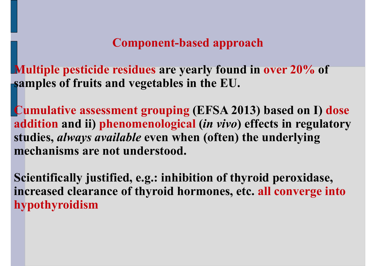#### **Component-based approach**

**Multiple pesticide residues are yearly found in over 20% of samples of fruits and vegetables in the EU.**

**Cumulative assessment grouping (EFSA 2013) based on I) dose addition and ii) phenomenological (***in vivo***) effects in regulatory studies,** *always available* **even when (often) the underlying mechanisms are not understood.**

**Scientifically justified, e.g.: inhibition of thyroid peroxidase, increased clearance of thyroid hormones, etc. all converge into hypothyroidism**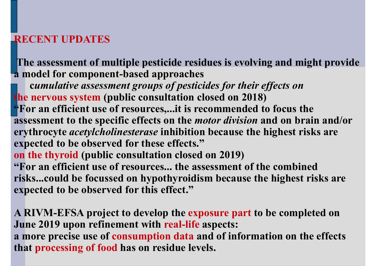#### **RECENT UPDATES**

**The assessment of multiple pesticide residues is evolving and might provide a model for component-based approaches**

**c***umulative assessment groups of pesticides for their effects on* **the nervous system (public consultation closed on 2018) "For an efficient use of resources,...it is recommended to focus the assessment to the specific effects on the** *motor division* **and on brain and/or erythrocyte** *acetylcholinesterase* **inhibition because the highest risks are expected to be observed for these effects."**

**on the thyroid (public consultation closed on 2019)**

**"For an efficient use of resources... the assessment of the combined risks...could be focussed on hypothyroidism because the highest risks are expected to be observed for this effect."**

**A RIVM-EFSA project to develop the exposure part to be completed on June 2019 upon refinement with real-life aspects: a more precise use of consumption data and of information on the effects that processing of food has on residue levels.**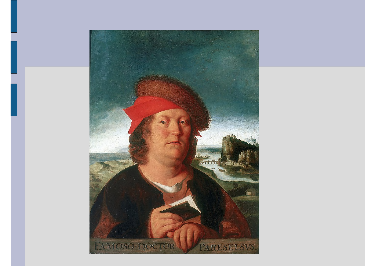